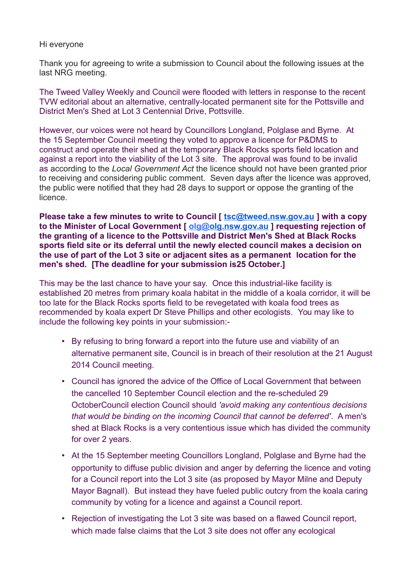## Hi everyone

Thank you for agreeing to write a submission to Council about the following issues at the last NRG meeting.

The Tweed Valley Weekly and Council were flooded with letters in response to the recent TVW editorial about an alternative, centrally-located permanent site for the Pottsville and District Men's Shed at Lot 3 Centennial Drive, Pottsville.

However, our voices were not heard by Councillors Longland, Polglase and Byrne. At the 15 September Council meeting they voted to approve a licence for P&DMS to construct and operate their shed at the temporary Black Rocks sports field location and against a report into the viability of the Lot 3 site. The approval was found to be invalid as according to the *Local Government Act* the licence should not have been granted prior to receiving and considering public comment. Seven days after the licence was approved, the public were notified that they had 28 days to support or oppose the granting of the licence.

**Please take a few minutes to write to Council [ [tsc@tweed.nsw.gov.au](mailto:tsc@tweed.nsw.gov.au) ] with a copy to the Minister of Local Government [ olg[@olg.nsw.gov.au](http://olg.nsw.gov.au/) ] requesting rejection of the granting of a licence to the Pottsville and District Men's Shed at Black Rocks sports field site or its deferral until the newly elected council makes a decision on the use of part of the Lot 3 site or adjacent sites as a permanent location for the men's shed. [The deadline for your submission is25 October.]**

This may be the last chance to have your say. Once this industrial-like facility is established 20 metres from primary koala habitat in the middle of a koala corridor, it will be too late for the Black Rocks sports field to be revegetated with koala food trees as recommended by koala expert Dr Steve Phillips and other ecologists. You may like to include the following key points in your submission:-

- By refusing to bring forward a report into the future use and viability of an alternative permanent site, Council is in breach of their resolution at the 21 August 2014 Council meeting.
- Council has ignored the advice of the Office of Local Government that between the cancelled 10 September Council election and the re-scheduled 29 OctoberCouncil election Council should *'avoid making any contentious decisions that would be binding on the incoming Council that cannot be deferred'*. A men's shed at Black Rocks is a very contentious issue which has divided the community for over 2 years.
- At the 15 September meeting Councillors Longland, Polglase and Byrne had the opportunity to diffuse public division and anger by deferring the licence and voting for a Council report into the Lot 3 site (as proposed by Mayor Milne and Deputy Mayor Bagnall). But instead they have fueled public outcry from the koala caring community by voting for a licence and against a Council report.
- Rejection of investigating the Lot 3 site was based on a flawed Council report, which made false claims that the Lot 3 site does not offer any ecological